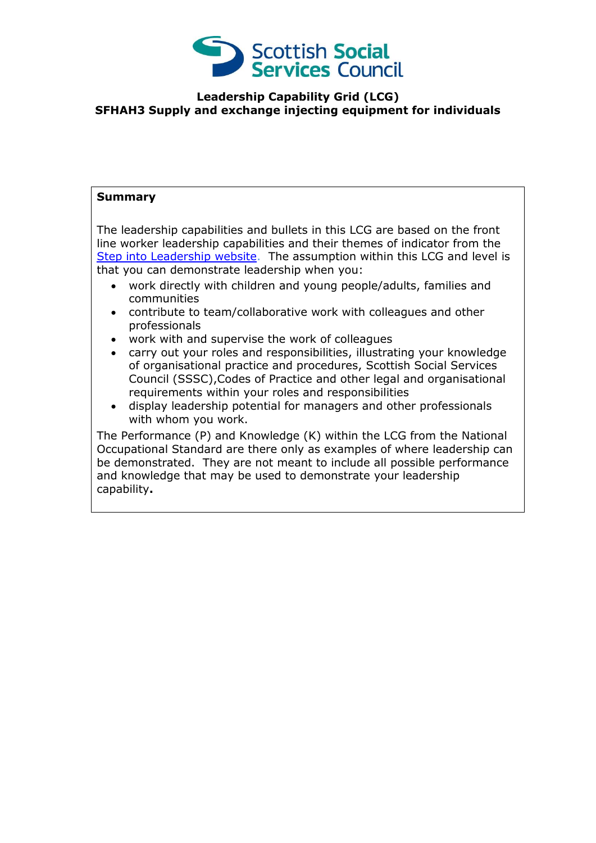

## **Leadership Capability Grid (LCG) SFHAH3 Supply and exchange injecting equipment for individuals**

## **Summary**

The leadership capabilities and bullets in this LCG are based on the front line worker leadership capabilities and their themes of indicator from the [Step into Leadership website.](http://www.stepintoleadership.info/) The assumption within this LCG and level is that you can demonstrate leadership when you:

- work directly with children and young people/adults, families and communities
- contribute to team/collaborative work with colleagues and other professionals
- work with and supervise the work of colleagues
- carry out your roles and responsibilities, illustrating your knowledge of organisational practice and procedures, Scottish Social Services Council (SSSC),Codes of Practice and other legal and organisational requirements within your roles and responsibilities
- display leadership potential for managers and other professionals with whom you work.

The Performance (P) and Knowledge (K) within the LCG from the National Occupational Standard are there only as examples of where leadership can be demonstrated. They are not meant to include all possible performance and knowledge that may be used to demonstrate your leadership capability**.**